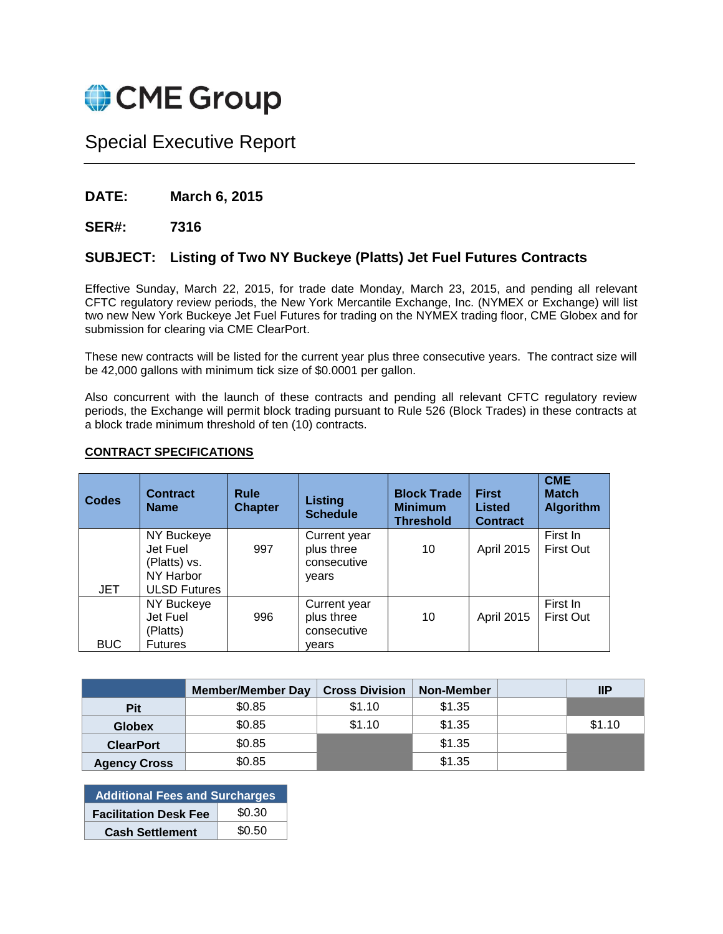

## Special Executive Report

## **DATE: March 6, 2015**

**SER#: 7316**

## **SUBJECT: Listing of Two NY Buckeye (Platts) Jet Fuel Futures Contracts**

Effective Sunday, March 22, 2015, for trade date Monday, March 23, 2015, and pending all relevant CFTC regulatory review periods, the New York Mercantile Exchange, Inc. (NYMEX or Exchange) will list two new New York Buckeye Jet Fuel Futures for trading on the NYMEX trading floor, CME Globex and for submission for clearing via CME ClearPort.

These new contracts will be listed for the current year plus three consecutive years. The contract size will be 42,000 gallons with minimum tick size of \$0.0001 per gallon.

Also concurrent with the launch of these contracts and pending all relevant CFTC regulatory review periods, the Exchange will permit block trading pursuant to Rule 526 (Block Trades) in these contracts at a block trade minimum threshold of ten (10) contracts.

#### **Codes Contract Name Rule Chapter Listing Schedule Block Trade Minimum Threshold First Listed Contract CME Match Algorithm JET** NY Buckeye Jet Fuel (Platts) vs. NY Harbor ULSD Futures 997 Current year plus three consecutive years 10 April 2015 First In First Out NY Buckeye Jet Fuel 996 Current year plus three 10 April 2015 First In First Out

consecutive years

## **CONTRACT SPECIFICATIONS**

(Platts) Futures

BUC

|                     | <b>Member/Member Day</b> | <b>Cross Division</b> | <b>Non-Member</b> | IP     |
|---------------------|--------------------------|-----------------------|-------------------|--------|
| Pit                 | \$0.85                   | \$1.10                | \$1.35            |        |
| <b>Globex</b>       | \$0.85                   | \$1.10                | \$1.35            | \$1.10 |
| <b>ClearPort</b>    | \$0.85                   |                       | \$1.35            |        |
| <b>Agency Cross</b> | \$0.85                   |                       | \$1.35            |        |

| <b>Additional Fees and Surcharges</b> |        |  |  |  |
|---------------------------------------|--------|--|--|--|
| <b>Facilitation Desk Fee</b>          | \$0.30 |  |  |  |
| <b>Cash Settlement</b>                | \$0.50 |  |  |  |